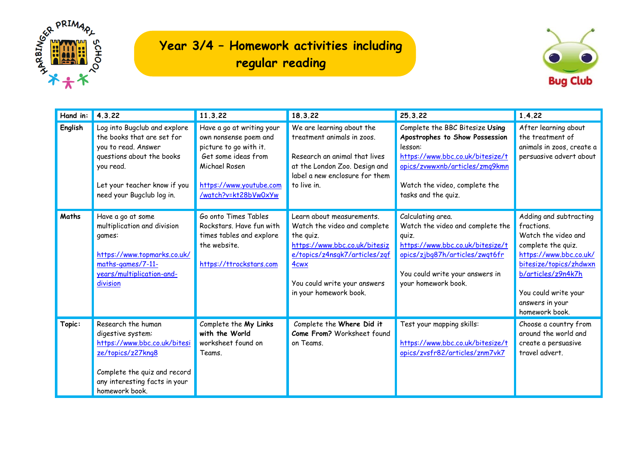

## **Year 3/4 – Homework activities including regular reading**



| Hand in: | $\vert 4.3.22 \vert$                                                                                                                                                                     | 11.3.22                                                                                                                                                                 | 18.3.22                                                                                                                                                                                                                | 25.3.22                                                                                                                                                                                                    | 1.4.22                                                                                                                                                                                                                   |
|----------|------------------------------------------------------------------------------------------------------------------------------------------------------------------------------------------|-------------------------------------------------------------------------------------------------------------------------------------------------------------------------|------------------------------------------------------------------------------------------------------------------------------------------------------------------------------------------------------------------------|------------------------------------------------------------------------------------------------------------------------------------------------------------------------------------------------------------|--------------------------------------------------------------------------------------------------------------------------------------------------------------------------------------------------------------------------|
| English  | Log into Bugclub and explore<br>the books that are set for<br>you to read. Answer<br>questions about the books<br>you read.<br>Let your teacher know if you<br>need your Bugclub log in. | Have a go at writing your<br>own nonsense poem and<br>picture to go with it.<br>Get some ideas from<br>Michael Rosen<br>https://www.youtube.com<br>/watch?v=kt28bVw0xYw | We are learning about the<br>treatment animals in zoos.<br>Research an animal that lives<br>at the London Zoo. Design and<br>label a new enclosure for them<br>to live in.                                             | Complete the BBC Bitesize Using<br>Apostrophes to Show Possession<br>lesson:<br>https://www.bbc.co.uk/bitesize/t<br>opics/zvwwxnb/articles/zmq9kmn<br>Watch the video, complete the<br>tasks and the quiz. | After learning about<br>the treatment of<br>animals in zoos, create a<br>persuasive advert about                                                                                                                         |
| Maths    | Have a go at some<br>multiplication and division<br>games:<br>https://www.topmarks.co.uk/<br>maths-games/7-11-<br>years/multiplication-and-<br>division                                  | Go onto Times Tables<br>Rockstars. Have fun with<br>times tables and explore<br>the website.<br>https://ttrockstars.com                                                 | Learn about measurements.<br>Watch the video and complete<br>the quiz.<br>https://www.bbc.co.uk/bitesiz<br>e/topics/z4nsgk7/articles/zgf<br>4 <sub>cwx</sub><br>You could write your answers<br>in your homework book. | Calculating area.<br>Watch the video and complete the<br>quiz.<br>https://www.bbc.co.uk/bitesize/t<br>opics/zjbq87h/articles/zwqt6fr<br>You could write your answers in<br>your homework book.             | Adding and subtracting<br>fractions.<br>Watch the video and<br>complete the quiz.<br>https://www.bbc.co.uk/<br>bitesize/topics/zhdwxn<br>b/articles/z9n4k7h<br>You could write your<br>answers in your<br>homework book. |
| Topic:   | Research the human<br>digestive system:<br>https://www.bbc.co.uk/bitesi<br>ze/topics/z27kng8<br>Complete the quiz and record<br>any interesting facts in your<br>homework book.          | Complete the My Links<br>with the World<br>worksheet found on<br>Teams.                                                                                                 | Complete the Where Did it<br>Come From? Worksheet found<br>on Teams.                                                                                                                                                   | Test your mapping skills:<br>https://www.bbc.co.uk/bitesize/t<br>opics/zvsfr82/articles/znm7vk7                                                                                                            | Choose a country from<br>around the world and<br>create a persuasive<br>travel advert.                                                                                                                                   |